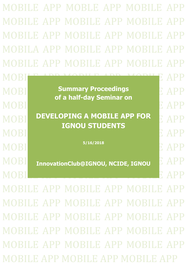MOBILE APP MOBLE APP MOBILE APP MOBILE APP MOBILE APP MOBILE APP MOBILE APP MOBILE APP MOBILE APP MOBILA APP MOBILE APP MOBILE APP MOBILE APP MOBILE APP MOBILE APP MOBILE APP MOBILE APP MOBILE APP

**MOBILE Summary Proceedings CE APP** MOBILE APP NORTH AND ACCOUNT APP MOBILE APP MOBILE APP OF A SAMPLE APP OF A SAMPLE APP OF A SAMPLE APP OF A SA **of a half-day Seminar on**

**MOBILE APP FOR A MOBILE APP FOR APP** MOBILE APP NORTH AND ACCOUNT APP MOBILE APP MOBILE APP OF A SAMPLE APP OF A SAMPLE APP OF A SAMPLE APP OF A SA **IGNOU STUDENTS**

MOBILE APP S/16/2018 **5/16/2018**

**MOBI** InnovationClub@IGNOU, NCIDE, IGNOU E APP

MOBILE APP MOBILE APP

MOBILE APP MOBILE APP MOBILE MOBILE APP MOBILE APP MOBILE APP MOBILE APP MOBILE APP MOBILE APP MOBILE APP MOBILE APP MOBILE APP MOBILE APP MOBILE APP MOBILE APP MOBILE APP MOBILE APP MOBILE APP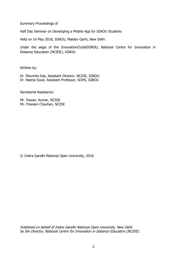Summary Proceedings of

Half Day Seminar on Developing a Mobile App for IGNOU Students

Held on 16 May 2018, IGNOU, Maidan Garhi, New Delhi

Under the aegis of the InnovationClub@IGNOU, National Centre for Innovation in Distance Education (NCIDE), IGNOU

Written by:

Dr. Moumita Das, Assistant Director, NCIDE, IGNOU Dr. Neerja Sood, Assistant Professor, SOHS, IGNOU

Secretarial Assistance:

Mr. Pawan, Kumar, NCIDE Mr. Praveen Chauhan, NCIDE

© Indira Gandhi National Open University, 2018.

Published on behalf of Indira Gandhi National Open University, New Delhi by the Director, National Centre for Innovation in Distance Education (NCIDE).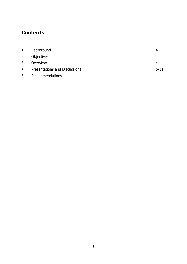# **Contents**

| 1. | Background                           |          |
|----|--------------------------------------|----------|
| 2. | Objectives                           | 4        |
| 3. | Overview                             | 4        |
| 4. | <b>Presentations and Discussions</b> | $5 - 11$ |
| 5. | Recommendations                      | 11       |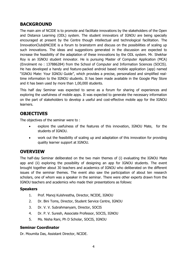# **BACKGROUND**

The main aim of NCIDE is to promote and facilitate innovations by the stakeholders of the Open and Distance Learning (ODL) system. The student innovators of IGNOU are being specially encouraged at present by the Centre though intellectual and technological facilitation. The InnovationClub@NCIDE is a forum to brainstorm and discuss on the possibilities of scaling up such innovations. The ideas and suggestions generated in the discussion are expected to increase the feasibility of the adaptation of these innovations by the ODL system. Mr. Shekhar Roy is an IGNOU student innovator. He is pursuing Master of Computer Application (MCA) (Enrolment no : 137886284) from the School of Computer and Information Sciences (SOCIS). He has developed a handy and feature-packed android based mobile application (app) named "IGNOU Mate: Your IGNOU Guide", which provides a precise, personalized and simplified realtime information to the IGNOU students. It has been made available in the Google Play Store and it has been used by more than 1,00,000 students.

This half day Seminar was expected to serve as a forum for sharing of experiences and exploring the usefulness of mobile apps. It was expected to generate the necessary information on the part of stakeholders to develop a useful and cost-effective mobile app for the IGNOU learners.

# **OBJECTIVES**

The objectives of the seminar were to :

- explore the usefulness of the features of this innovation, IGNOU Mate, for the students of IGNOU.
- work out the feasibility of scaling up and adaptation of this innovation for providing quality learner support at IGNOU.

## **OVERVIEW**

The half-day Seminar deliberated on the two main themes of (i) evaluating the IGNOU Mate app and (ii) exploring the possibility of designing an app for IGNOU students. The event brought together about 30 teachers and academics of IGNOU who deliberated on the different issues of the seminar themes. The event also saw the participation of about ten research scholars, one of whom was a speaker in the seminar. There were other experts drawn from the IGNOU teachers and academics who made their presentations as follows:

#### **Speakers**

- 1. Prof. Manoj Kulshrestha, Director, NCIDE, IGNOU
- 2. Dr. Bini Toms, Director, Student Service Centre, IGNOU
- 3. Dr. V. V. Subrahmanyam, Director, SOCIS
- 4. Dr. P. V. Suresh, Associate Professor, SOCIS, IGNOU
- 5. Ms. Nisha Rani, Ph D Scholar, SOCIS, IGNOU

#### **Seminar Coordinator**

Dr. Moumita Das, Assistant Director, NCIDE.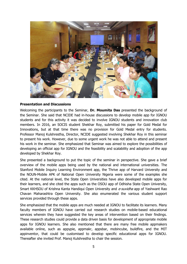

#### **Presentation and Discussions**

Welcoming the participants to the Seminar, **Dr. Moumita Das** presented the background of the Seminar. She said that NCIDE had in-house discussions to develop mobile app for IGNOU students and for this activity it was decided to involve IGNOU students and innovation club members. In 2016, an SOCIS student Shekhar Roy, submitted his paper for Gold Medal for Innovations, but at that time there was no provision for Gold Medal entry for students. Professor Manoj Kulshrestha, Director, NCIDE suggested involving Shekhar Roy in this seminar to present his work. However, due to some urgent work he was not able to attend and present his work in the seminar. She emphasized that Seminar was aimed to explore the possibilities of developing an official app for IGNOU and the feasibility and scalability and adoption of the app developed by Shekhar Roy.

She presented a background to put the topic of the seminar in perspective. She gave a brief overview of the mobile apps being used by the national and international universities. The Stanford Mobile Inquiry Learning Environment app, the Thrive app of Harvard University and the NOUN-Mobile APK of National Open University Nigeria were some of the examples she cited. At the national level, the State Open Universities have also developed mobile apps for their learners, and she cited the apps such as the OSOU app of Odhisha State Open University, Smart KKHSOU of Krishna Kanta Handiqui Open University and e-suvidha app of Yashwant Rao Chavan Maharashtra Open University. She also enumerated the various student support services provided through these apps.

She emphasized that the mobile apps are much needed at IGNOU to facilitate its learners. Many faculty members of IGNOU have carried out research studies on mobile-based educational services wherein they have suggested the key areas of intervention based on their findings. These research studies could provide a data driven basis for development of appropriate mobile apps for IGNOU learners. She also mentioned that there are many free mobile appmakers available online, such as appypie, appmakr, appsbar, mobincube, buildfire, and the MIT appinventor, that could be customised to develop specific educational apps for IGNOU. Thereafter she invited Prof. Manoj Kulshrestha to chair the session.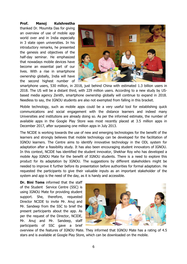#### **Prof. Manoj Kulshrestha**

thanked Dr. Moumita Das for giving an overview of use of mobile app world over and in India especially in 3 state open universities. In his introductory remarks, he presented the genesis and objectives of the half-day seminar. He emphasized that nowadays mobile devices have become an essential part of our lives. With a rise in smartphone ownership globally, India will have the second highest number of



smartphone users, 530 million, in 2018, just behind China with estimated 1.3 billion users in 2018. The US will be a distant third, with 229 million users. According to a new study by USbased media agency Zenith, smartphone ownership globally will continue to expand in 2018. Needless to say, the IGNOU students are also not exempted from falling in this bracket.

Mobile technology, such as mobile apps could be a very useful tool for establishing quick communications and social engagement with the distance learners and indeed many Universities and institutions are already doing so. As per the informed estimate, the number of available apps in the Google Play Store was most recently placed at 3.5 million apps in December 2017, after surpassing one million apps in July 2013.

The NCIDE is working towards the use of new and emerging technologies for the benefit of the learners and strongly believes that mobile technology can be developed for the facilitation of IGNOU learners. The Centre aims to identify innovative technology in the ODL system for adaptation after a feasibility study. It has also been encouraging student innovators of IGNOU. In this context, NCIDE has identified the student innovator, Shekhar Roy who has developed a mobile App IGNOU Mate for the benefit of IGNOU students. There is a need to explore this product for its adaptation by IGNOU. The suggestions by different stakeholders might be needed to improve it further before its presentation before authorities for formal adaptation. He requested the participants to give their valuable inputs as an important stakeholder of the system and app is the need of the day, as it is handy and accessible.

**Dr. Bini Toms** informed that the staff of the Student Service Centre (SSC) is using IGNOU Mate for providing student support. She, therefore, requested Director NCIDE to invite Mr. Anuj and Mr. Sandeep from the SSC to brief the present participants about the app. As per the request of the Director, NCIDE, Mr. Anuj and Mr. Sandeep, staff participants of SSC gave a brief



overview of the features of IGNOU Mate. They informed that IGNOU Mate has a rating of 4.5 stars and is available at Google Play Store, which can be downloaded on the mobile.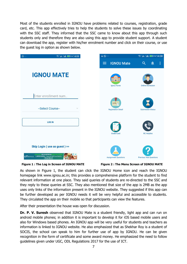Most of the students enrolled in IGNOU have problems related to courses, registration, grade card, etc. This app effectively tries to help the students to solve these issues by coordinating with the SSC staff. They informed that the SSC came to know about this app through such students only and therefore they are also using this app to provide student support. A student can download the app, register with his/her enrolment number and click on their course, or use the guest log in option as shown below.

| $\mathbb{Q}$ $\cdots$<br>$\widehat{\mathcal{F}}$ : "al, "al, $\blacksquare$ + 14:08                                                                                     | $\square \bigcirc \cdots$   | $\widehat{\mathbb{R}}$ all $\ln \frac{1}{2}$ $\frac{1}{2}$ + 14:08 |
|-------------------------------------------------------------------------------------------------------------------------------------------------------------------------|-----------------------------|--------------------------------------------------------------------|
|                                                                                                                                                                         | <b>IGNOU Mate</b><br>≡      | $\alpha$<br>$\ddot{\phantom{a}}$                                   |
| <b>IGNOU MATE</b>                                                                                                                                                       | 前面前<br>Ignou Home           | <b>Online Admission</b>                                            |
| Enter enrollment num                                                                                                                                                    |                             |                                                                    |
| --Select Course--                                                                                                                                                       | <b>Registration Detail</b>  | <b>Submission Status</b>                                           |
| <b>LOG IN</b>                                                                                                                                                           | <b>Grade Card</b>           | <b>RC</b> Helpline                                                 |
| Skip Login (use as guest) >><br><b>GURUGRAM'S NEW EPICENTRE FOR RETAIL FAR, OFFICE</b><br><b>ORNER WALK C 8010 356356</b> Sector 74, Golf Course Road Ext.<br>Know More | <b>Assignment Questions</b> | <b>Previous Year Questions</b>                                     |

 **Figure 1 : The Log in Screen of IGNOU MATE Figure 2 : The Menu Screen of IGNOU MATE**

As shown in Figure 1, the student can click the IGNOU Home icon and reach the IGNOU homepage link www.ignou.ac.in; this provides a comprehensive platform for the student to find relevant information at one place. They said queries of students are re-directed to the SSC and they reply to these queries at SSC. They also mentioned that size of the app is 2MB as the app uses only links of the information present in the IGNOU website. They suggested if this app can be further developed as per IGNOU needs it will be very helpful and accessible to students. They circulated the app on their mobile so that participants can view the features.

After their presentation the house was open for discussion.

**Dr. P. V. Suresh** observed that IGNOU Mate is a student friendly, light app and can run on android mobile phones; in addition it is important to develop it for iOS based mobile users and also for Windows based phones. An IGNOU app will be very useful for students and teachers as information is linked to IGNOU website. He also emphasized that as Shekhar Roy is a student of SOCIS, the school can speak to him for further use of app by IGNOU. He can be given recognition in the form of certificate and some award money. He emphasized the need to follow guidelines given under UGC, ODL Regulations 2017 for the use of ICT.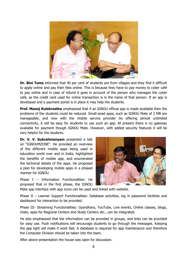

**Dr. Bini Toms** informed that 40 per cent of students are from villages and they find it difficult to apply online and pay their fees online. This is because they have to pay money to cyber café to pay online and in case of refund it goes in account of the person who manages the cyber café, as the credit card used for online transaction is in the name of that person. If an app is developed and a payment portal is in place it may help the students.

**Prof. Manoj Kulshrestha** emphasized that if an IGNOU official app is made available then the problems of the students could be reduced. Small-sized apps, such as IGNOU Mate of 2 MB are manageable, and now with the mobile service provider Jio offering almost unlimited connectivity, it will be easy for students to use such an app. At present there is no gateway available for payment though IGNOU Mate. However, with added security features it will be very helpful for the students.

**Dr. V. V. Subrahmanyam** presented a talk on "IGNOUMZONE". He provided an overview of the different mobile apps being used in education world over and in India, highlighted the benefits of mobile app, and enumerated the technical details of the apps. He proposed a plan for developing mobile apps in a phased manner for IGNOU.

Phase I – Information Functionalities: He proposed that in the first phase, the IGNOU



Mate app interface with app icons can be used and linked with website.

Phase II - Learner Support Functionalities: Database activities, log in password facilities and dashboard for interaction to be provided.

Phase III- Streaming Functionalities: Gyandhara, YouTube, Live events, Online classes, blogs, chats, apps for Regional Centers and Study Centers etc., can be integrated.

He also emphasized that the information can be provided in groups, and links can be provided for easy use. Push notifications will encourage students to go through the messages. Keeping the app light will make it work fast. A database is required for app maintenance and therefore the Computer Division should be taken into the team.

After above presentation the house was open for discussion.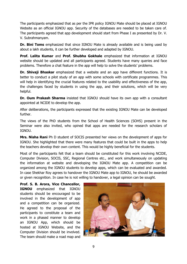The participants emphasized that as per the IPR policy IGNOU Mate should be placed at IGNOU Website as an official IGNOU app. Security of the databases are needed to be taken care of. The participants agreed that app development should start from Phase I as presented by Dr. V. V. Subrahmanyam.

**Dr. Bini Toms** emphasized that since IGNOU Mate is already available and is being used by about a lakh students, it can be further developed and adapted by IGNOU.

**Prof. Lalita Kumar** and **Prof. Shubha Gokhale** emphasized that information at IGNOU website should be updated and all participants agreed. Students have many queries and face problems. Therefore a chat feature in the app will help to solve the students' problems.

**Dr. Shivaji Bhaskar** emphasized that a website and an app have different functions. It is better to conduct a pilot study of an app with some schools with certificate programmes. This will help in identifying the crucial features related to the usability and effectiveness of the app, the challenges faced by students in using the app, and their solutions, which will be very helpful.

**Dr. Oum Prakash Sharma** insisted that IGNOU should have its own app with a consultant appointed at NCIDE to develop the app.

After deliberations, the participants expressed that the existing IGNOU Mate can be developed further.

The views of the PhD students from the School of Health Sciences (SOHS) present in the Seminar were also invited, who opined that apps are needed for the research scholars of IGNOU.

**Mrs. Nisha Rani** Ph D student of SOCIS presented her views on the development of apps for IGNOU. She highlighted that there were many features that could be built in the apps to help the teachers develop their own content. This would be highly beneficial for the students.

Most of the participants felt that a team should be constituted for this work involving NCIDE, Computer Division, SOCIS, SSC, Regional Centres etc., and work simultaneously on updating the information at website and developing the IGNOU Mate app. A competition can be organized among the IGNOU students to develop apps, which can be evaluated and awarded. In case Shekhar Roy agrees to handover the IGNOU Mate app to IGNOU, he should be awarded or given recognition. In case he is not willing to handover, a legal opinion can be sought.

**Prof. S. B. Arora, Vice Chancellor, IGNOU** emphasized that IGNOU students should be encouraged to be involved in the development of app and a competition can be organized. He agreed to the proposal of the participants to constitute a team and work in a phased manner to develop an IGNOU App, which should be hosted at IGNOU Website, and the Computer Division should be involved. The team should make a road map and

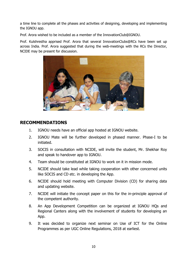a time line to complete all the phases and activities of designing, developing and implementing the IGNOU app.

Prof. Arora wished to be included as a member of the InnovationClub@IGNOU.

Prof. Kulshrestha apprised Prof. Arora that several InnovationClubs@RCs have been set up across India. Prof. Arora suggested that during the web-meetings with the RCs the Director, NCIDE may be present for discussion.



## **RECOMMENDATIONS**

- 1. IGNOU needs have an official app hosted at IGNOU website.
- 2. IGNOU Mate will be further developed in phased manner. Phase-I to be initiated.
- 3. SOCIS in consultation with NCIDE, will invite the student, Mr. Shekhar Roy and speak to handover app to IGNOU.
- 4. Team should be constituted at IGNOU to work on it in mission mode.
- 5. NCIDE should take lead while taking cooperation with other concerned units like SOCIS and CD etc. in developing the App.
- 6. NCIDE should hold meeting with Computer Division (CD) for sharing data and updating website.
- 7. NCIDE will initiate the concept paper on this for the in-principle approval of the competent authority.
- 8. An App Development Competition can be organized at IGNOU HQs and Regional Canters along with the involvement of students for developing an App.
- 9. It was decided to organize next seminar on Use of ICT for the Online Programmes as per UGC Online Regulations, 2018 at earliest.